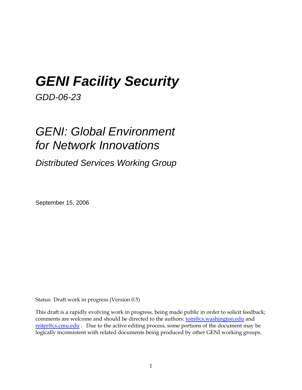# *GENI Facility Security*

*GDD-06-23* 

# *GENI: Global Environment for Network Innovations*

*Distributed Services Working Group* 

September 15, 2006

Status: Draft work in progress (Version 0.5)

This draft is a rapidly evolving work in progress, being made public in order to solicit feedback; comments are welcome and should be directed to the authors: **tom@cs.washington.edu** and reiter@cs.cmu.edu . Due to the active editing process, some portions of the document may be logically inconsistent with related documents being produced by other GENI working groups.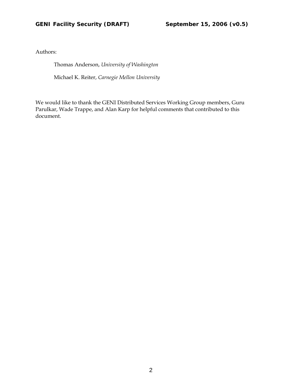Authors:

Thomas Anderson, *University of Washington*

Michael K. Reiter, *Carnegie Mellon University* 

We would like to thank the GENI Distributed Services Working Group members, Guru Parulkar, Wade Trappe, and Alan Karp for helpful comments that contributed to this document.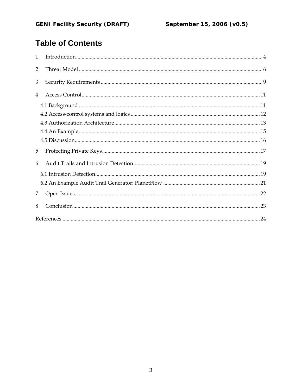# **Table of Contents**

| $\mathbf{1}$   |  |
|----------------|--|
| $\overline{2}$ |  |
| 3              |  |
| 4              |  |
|                |  |
|                |  |
|                |  |
|                |  |
|                |  |
| 5              |  |
| 6              |  |
|                |  |
|                |  |
| 7              |  |
| 8              |  |
|                |  |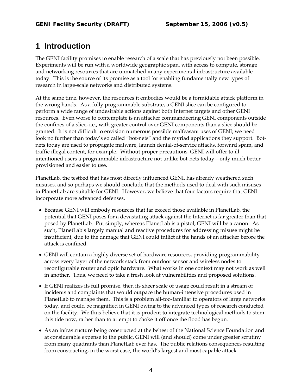## **1 Introduction**

The GENI facility promises to enable research of a scale that has previously not been possible. Experiments will be run with a worldwide geographic span, with access to compute, storage and networking resources that are unmatched in any experimental infrastructure available today. This is the source of its promise as a tool for enabling fundamentally new types of research in large-scale networks and distributed systems.

At the same time, however, the resources it embodies would be a formidable attack platform in the wrong hands. As a fully programmable substrate, a GENI slice can be configured to perform a wide range of undesirable actions against both Internet targets and other GENI resources. Even worse to contemplate is an attacker commandeering GENI components outside the confines of a slice, i.e., with greater control over GENI components than a slice should be granted. It is not difficult to envision numerous possible malfeasant uses of GENI; we need look no further than today's so called "bot-nets" and the myriad applications they support. Botnets today are used to propagate malware, launch denial-of-service attacks, forward spam, and traffic illegal content, for example. Without proper precautions, GENI will offer to illintentioned users a programmable infrastructure not unlike bot-nets today—only much better provisioned and easier to use.

PlanetLab, the testbed that has most directly influenced GENI, has already weathered such misuses, and so perhaps we should conclude that the methods used to deal with such misuses in PlanetLab are suitable for GENI. However, we believe that four factors require that GENI incorporate more advanced defenses.

- Because GENI will embody resources that far exceed those available in PlanetLab, the potential that GENI poses for a devastating attack against the Internet is far greater than that posed by PlanetLab. Put simply, whereas PlanetLab is a pistol, GENI will be a canon. As such, PlanetLab's largely manual and reactive procedures for addressing misuse might be insufficient, due to the damage that GENI could inflict at the hands of an attacker before the attack is confined.
- GENI will contain a highly diverse set of hardware resources, providing programmability across every layer of the network stack from outdoor sensor and wireless nodes to reconfigurable router and optic hardware. What works in one context may not work as well in another. Thus, we need to take a fresh look at vulnerabilities and proposed solutions.
- If GENI realizes its full promise, then its sheer scale of usage could result in a stream of incidents and complaints that would outpace the human-intensive procedures used in PlanetLab to manage them. This is a problem all-too-familiar to operators of large networks today, and could be magnified in GENI owing to the advanced types of research conducted on the facility. We thus believe that it is prudent to integrate technological methods to stem this tide now, rather than to attempt to choke it off once the flood has begun.
- As an infrastructure being constructed at the behest of the National Science Foundation and at considerable expense to the public, GENI will (and should) come under greater scrutiny from many quadrants than PlanetLab ever has. The public relations consequences resulting from constructing, in the worst case, the world's largest and most capable attack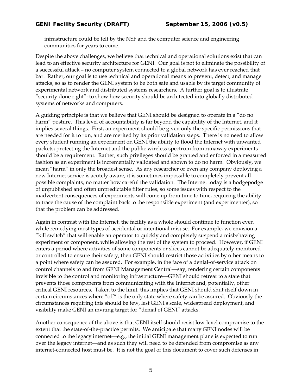infrastructure could be felt by the NSF and the computer science and engineering communities for years to come.

Despite the above challenges, we believe that technical and operational solutions exist that can lead to an effective security architecture for GENI. Our goal is not to eliminate the possibility of a successful attack – no computer system connected to a global network has ever reached that bar. Rather, our goal is to use technical and operational means to prevent, detect, and manage attacks, so as to render the GENI system to be both safe and usable by its target community of experimental network and distributed systems researchers. A further goal is to illustrate "security done right": to show how security should be architected into globally distributed systems of networks and computers.

A guiding principle is that we believe that GENI should be designed to operate in a "do no harm" posture. This level of accountability is far beyond the capability of the Internet, and it implies several things. First, an experiment should be given only the specific permissions that are needed for it to run, and are merited by its prior validation steps. There is no need to allow every student running an experiment on GENI the ability to flood the Internet with unwanted packets; protecting the Internet and the public wireless spectrum from runaway experiments should be a requirement. Rather, such privileges should be granted and enforced in a measured fashion as an experiment is incrementally validated and shown to do no harm. Obviously, we mean "harm" in only the broadest sense. As any researcher or even any company deploying a new Internet service is acutely aware, it is sometimes impossible to completely prevent all possible complaints, no matter how careful the validation. The Internet today is a hodgepodge of unpublished and often unpredictable filter rules, so some issues with respect to the inadvertent consequences of experiments will come up from time to time, requiring the ability to trace the cause of the complaint back to the responsible experiment (and experimenter), so that the problem can be addressed.

Again in contrast with the Internet, the facility as a whole should continue to function even while remedying most types of accidental or intentional misuse. For example, we envision a "kill switch" that will enable an operator to quickly and completely suspend a misbehaving experiment or component, while allowing the rest of the system to proceed. However, if GENI enters a period where activities of some components or slices cannot be adequately monitored or controlled to ensure their safety, then GENI should restrict those activities by other means to a point where safety can be assured. For example, in the face of a denial-of-service attack on control channels to and from GENI Management Central—say, rendering certain components invisible to the control and monitoring infrastructure—GENI should retreat to a state that prevents those components from communicating with the Internet and, potentially, other critical GENI resources. Taken to the limit, this implies that GENI should shut itself down in certain circumstances where "off" is the only state where safety can be assured. Obviously the circumstances requiring this should be few, lest GENI's scale, widespread deployment, and visibility make GENI an inviting target for "denial of GENI" attacks.

Another consequence of the above is that GENI itself should resist low-level compromise to the extent that the state-of-the-practice permits. We anticipate that many GENI nodes will be connected to the legacy internet—e.g., the initial GENI management plane is expected to run over the legacy internet—and as such they will need to be defended from compromise as any internet-connected host must be. It is not the goal of this document to cover such defenses in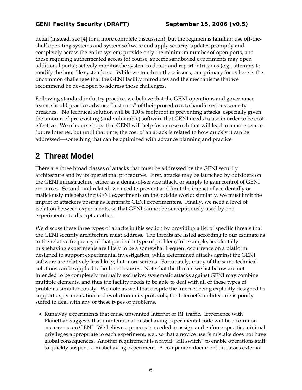detail (instead, see [4] for a more complete discussion), but the regimen is familiar: use off-theshelf operating systems and system software and apply security updates promptly and completely across the entire system; provide only the minimum number of open ports, and those requiring authenticated access (of course, specific sandboxed experiments may open additional ports); actively monitor the system to detect and report intrusions (e.g., attempts to modify the boot file system); etc. While we touch on these issues, our primary focus here is the uncommon challenges that the GENI facility introduces and the mechanisms that we recommend be developed to address those challenges.

Following standard industry practice, we believe that the GENI operations and governance teams should practice advance "test runs" of their procedures to handle serious security breaches. No technical solution will be 100% foolproof in preventing attacks, especially given the amount of pre-existing (and vulnerable) software that GENI needs to use in order to be costeffective. We of course hope that GENI will help foster research that will lead to a more secure future Internet, but until that time, the cost of an attack is related to how quickly it can be addressed—something that can be optimized with advance planning and practice.

# **2 Threat Model**

There are three broad classes of attacks that must be addressed by the GENI security architecture and by its operational procedures. First, attacks may be launched by outsiders on the GENI infrastructure, either as a denial-of-service attack, or simply to gain control of GENI resources. Second, and related, we need to prevent and limit the impact of accidentally or maliciously misbehaving GENI experiments on the outside world; similarly, we must limit the impact of attackers posing as legitimate GENI experimenters. Finally, we need a level of isolation between experiments, so that GENI cannot be surreptitiously used by one experimenter to disrupt another.

We discuss these three types of attacks in this section by providing a list of specific threats that the GENI security architecture must address. The threats are listed according to our estimate as to the relative frequency of that particular type of problem; for example, accidentally misbehaving experiments are likely to be a somewhat frequent occurrence on a platform designed to support experimental investigation, while determined attacks against the GENI software are relatively less likely, but more serious. Fortunately, many of the same technical solutions can be applied to both root causes. Note that the threats we list below are not intended to be completely mutually exclusive: systematic attacks against GENI may combine multiple elements, and thus the facility needs to be able to deal with all of these types of problems simultaneously. We note as well that despite the Internet being explicitly designed to support experimentation and evolution in its protocols, the Internet's architecture is poorly suited to deal with any of these types of problems.

• Runaway experiments that cause unwanted Internet or RF traffic. Experience with PlanetLab suggests that unintentional misbehaving experimental code will be a common occurrence on GENI. We believe a process is needed to assign and enforce specific, minimal privileges appropriate to each experiment, e.g., so that a novice user's mistake does not have global consequences. Another requirement is a rapid "kill switch" to enable operations staff to quickly suspend a misbehaving experiment. A companion document discusses external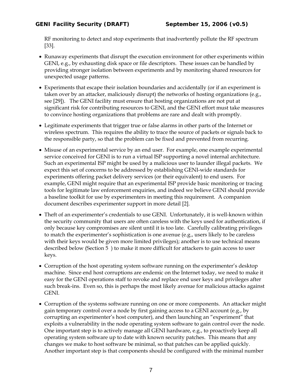RF monitoring to detect and stop experiments that inadvertently pollute the RF spectrum [33].

- Runaway experiments that disrupt the execution environment for other experiments within GENI, e.g., by exhausting disk space or file descriptors. These issues can be handled by providing stronger isolation between experiments and by monitoring shared resources for unexpected usage patterns.
- Experiments that escape their isolation boundaries and accidentally (or if an experiment is taken over by an attacker, maliciously disrupt) the networks of hosting organizations (e.g., see [29]). The GENI facility must ensure that hosting organizations are not put at significant risk for contributing resources to GENI, and the GENI effort must take measures to convince hosting organizations that problems are rare and dealt with promptly.
- Legitimate experiments that trigger true or false alarms in other parts of the Internet or wireless spectrum. This requires the ability to trace the source of packets or signals back to the responsible party, so that the problem can be fixed and prevented from recurring.
- Misuse of an experimental service by an end user. For example, one example experimental service conceived for GENI is to run a virtual ISP supporting a novel internal architecture. Such an experimental ISP might be used by a malicious user to launder illegal packets. We expect this set of concerns to be addressed by establishing GENI-wide standards for experiments offering packet delivery services (or their equivalent) to end users. For example, GENI might require that an experimental ISP provide basic monitoring or tracing tools for legitimate law enforcement enquiries, and indeed we believe GENI should provide a baseline toolkit for use by experimenters in meeting this requirement. A companion document describes experimenter support in more detail [2].
- Theft of an experimenter's credentials to use GENI. Unfortunately, it is well-known within the security community that users are often careless with the keys used for authentication, if only because key compromises are silent until it is too late. Carefully calibrating privileges to match the experimenter's sophistication is one avenue (e.g., users likely to be careless with their keys would be given more limited privileges); another is to use technical means described below (Section 5 ) to make it more difficult for attackers to gain access to user keys.
- Corruption of the host operating system software running on the experimenter's desktop machine. Since end host corruptions are endemic on the Internet today, we need to make it easy for the GENI operations staff to revoke and replace end user keys and privileges after such break-ins. Even so, this is perhaps the most likely avenue for malicious attacks against GENI.
- Corruption of the systems software running on one or more components. An attacker might gain temporary control over a node by first gaining access to a GENI account (e.g., by corrupting an experimenter's host computer), and then launching an "experiment" that exploits a vulnerability in the node operating system software to gain control over the node. One important step is to actively manage all GENI hardware, e.g., to proactively keep all operating system software up to date with known security patches. This means that any changes we make to host software be minimal, so that patches can be applied quickly. Another important step is that components should be configured with the minimal number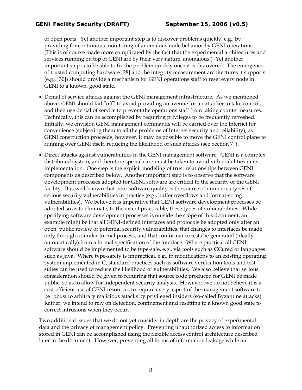of open ports. Yet another important step is to discover problems quickly, e.g., by providing for continuous monitoring of anomalous node behavior by GENI operations. (This is of course made more complicated by the fact that the experimental architectures and services running on top of GENI are by their very nature, anomalous!) Yet another important step is to be able to fix the problem quickly once it is discovered. The emergence of trusted computing hardware [28] and the integrity measurement architectures it supports (e.g., [30]) should provide a mechanism for GENI operations staff to reset every node in GENI to a known, good state.

- Denial of service attacks against the GENI management infrastructure. As we mentioned above, GENI should fail "off" to avoid providing an avenue for an attacker to take control, and then use denial of service to prevent the operations staff from taking countermeasures. Technically, this can be accomplished by requiring privileges to be frequently refreshed. Initially, we envision GENI management commands will be carried over the Internet for convenience (subjecting them to all the problems of Internet security and reliability); as GENI construction proceeds, however, it may be possible to move the GENI control plane to running over GENI itself, reducing the likelihood of such attacks (see Section 7 ).
- Direct attacks against vulnerabilities in the GENI management software. GENI is a complex distributed system, and therefore special care must be taken to avoid vulnerabilities in its implementation. One step is the explicit modeling of trust relationships between GENI components as described below. Another important step is to observe that the software development processes adopted for GENI software are critical to the security of the GENI facility. It is well-known that poor software quality is the source of numerous types of serious security vulnerabilities in practice (e.g., buffer overflows and format-string vulnerabilities). We believe it is imperative that GENI software development processes be adopted so as to eliminate, to the extent practicable, these types of vulnerabilities. While specifying software development processes is outside the scope of this document, an example might be that all GENI-defined interfaces and protocols be adopted only after an open, public review of potential security vulnerabilities, that changes to interfaces be made only through a similar formal process, and that conformance tests be generated (ideally, automatically) from a formal specification of the interface. Where practical all GENI software should be implemented to be type-safe, e.g., via tools such as CCured or languages such as Java. Where type-safety is impractical, e.g., in modifications to an existing operating system implemented in C, standard practices such as software verification tools and test suites can be used to reduce the likelihood of vulnerabilities. We also believe that serious consideration should be given to requiring that source code produced for GENI be made public, so as to allow for independent security analysis. However, we do not believe it is a cost-efficient use of GENI resources to require every aspect of the management software to be robust to arbitrary malicious attacks by privileged insiders (so-called Byzantine attacks). Rather, we intend to rely on detection, confinement and resetting to a known good state to correct intrusions when they occur.

Two additional issues that we do not yet consider in depth are the privacy of experimental data and the privacy of management policy. Preventing unauthorized access to information stored in GENI can be accomplished using the flexible access control architecture described later in the document. However, preventing all forms of information leakage while an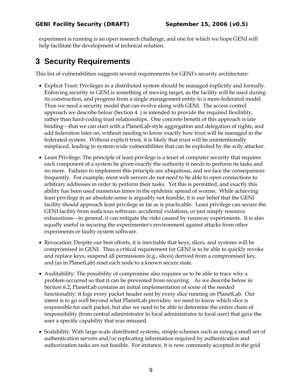experiment is running is an open research challenge, and one for which we hope GENI will help facilitate the development of technical solution.

## **3 Security Requirements**

This list of vulnerabilities suggests several requirements for GENI's security architecture:

- Explicit Trust: Privileges in a distributed system should be managed explicitly and formally. Enforcing security in GENI is something of moving target, as the facility will be used during its construction, and progress from a single management entity to a more federated model. Thus we need a security model that can evolve along with GENI. The access control approach we describe below (Section 4 ) is intended to provide the required flexibility, rather than hard-coding trust relationships. One concrete benefit of this approach is late binding—that we can start with a PlanetLab-style aggregation and delegation of rights, and add federation later on, without needing to know exactly how trust will be managed in the federated system. Without explicit trust, it is likely that trust will be unintentionally misplaced, leading to system-wide vulnerabilities that can be exploited by the wily attacker.
- Least Privilege: The principle of least privilege is a tenet of computer security that requires each component of a system be given exactly the authority it needs to perform its tasks and no more. Failures to implement this principle are ubiquitous, and we face the consequences frequently. For example, most web servers do not need to be able to open connections to arbitrary addresses in order to perform their tasks. Yet this is permitted, and exactly this ability has been used numerous times in the epidemic spread of worms. While achieving least privilege in an absolute sense is arguably not feasible, it is our belief that the GENI facility should approach least privilege as far as is practicable. Least privilege can secure the GENI facility from malicious software, accidental violations, or just simply resource exhaustions—in general, it can mitigate the risks caused by runaway experiments. It is also equally useful in securing the experimenter's environment against attacks from other experiments or faulty system software.
- Revocation: Despite our best efforts, it is inevitable that keys, slices, and systems will be compromised in GENI. Thus a critical requirement for GENI is to be able to quickly revoke and replace keys, suspend all permissions (e.g., slices) derived from a compromised key, and (as in PlanetLab) reset each node to a known secure state.
- Auditability: The possibility of compromise also requires us to be able to trace why a problem occurred so that it can be prevented from recurring. As we describe below in Section 6.2, PlanetLab contains an initial implementation of some of the needed functionality: it logs every packet header sent by every slice running on PlanetLab. Our intent is to go well beyond what PlanetLab provides; we need to know which slice is responsible for each packet, but also we need to be able to determine the entire chain of responsibility (from central administrator to local administrator to local user) that gave the user a specific capability that was misused.
- Scalability: With large-scale distributed systems, simple schemes such as using a small set of authentication servers and/or replicating information required by authentication and authorization tasks are not feasible. For instance, it is now commonly accepted in the grid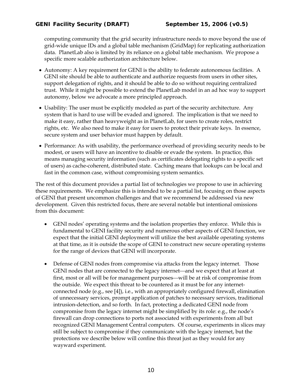computing community that the grid security infrastructure needs to move beyond the use of grid-wide unique IDs and a global table mechanism (GridMap) for replicating authorization data. PlanetLab also is limited by its reliance on a global table mechanism. We propose a specific more scalable authorization architecture below.

- Autonomy: A key requirement for GENI is the ability to federate autonomous facilities. A GENI site should be able to authenticate and authorize requests from users in other sites, support delegation of rights, and it should be able to do so without requiring centralized trust. While it might be possible to extend the PlanetLab model in an ad hoc way to support autonomy, below we advocate a more principled approach.
- Usability: The user must be explicitly modeled as part of the security architecture. Any system that is hard to use will be evaded and ignored. The implication is that we need to make it easy, rather than heavyweight as in PlanetLab, for users to create roles, restrict rights, etc. We also need to make it easy for users to protect their private keys. In essence, secure system and user behavior must happen by default.
- Performance: As with usability, the performance overhead of providing security needs to be modest, or users will have an incentive to disable or evade the system. In practice, this means managing security information (such as certificates delegating rights to a specific set of users) as cache-coherent, distributed state. Caching means that lookups can be local and fast in the common case, without compromising system semantics.

The rest of this document provides a partial list of technologies we propose to use in achieving these requirements. We emphasize this is intended to be a partial list, focusing on those aspects of GENI that present uncommon challenges and that we recommend be addressed via new development. Given this restricted focus, there are several notable but intentional omissions from this document:

- GENI nodes' operating systems and the isolation properties they enforce. While this is fundamental to GENI facility security and numerous other aspects of GENI function, we expect that the initial GENI deployment will utilize the best available operating systems at that time, as it is outside the scope of GENI to construct new secure operating systems for the range of devices that GENI will incorporate.
- Defense of GENI nodes from compromise via attacks from the legacy internet. Those GENI nodes that are connected to the legacy internet—and we expect that at least at first, most or all will be for management purposes—will be at risk of compromise from the outside. We expect this threat to be countered as it must be for any internetconnected node (e.g., see [4]), i.e., with an appropriately configured firewall, elimination of unnecessary services, prompt application of patches to necessary services, traditional intrusion-detection, and so forth. In fact, protecting a dedicated GENI node from compromise from the legacy internet might be simplified by its role: e.g., the node's firewall can drop connections to ports not associated with experiments from all but recognized GENI Management Central computers. Of course, experiments in slices may still be subject to compromise if they communicate with the legacy internet, but the protections we describe below will confine this threat just as they would for any wayward experiment.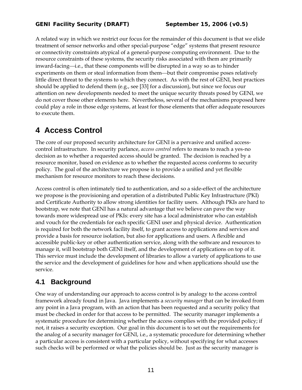A related way in which we restrict our focus for the remainder of this document is that we elide treatment of sensor networks and other special-purpose "edge" systems that present resource or connectivity constraints atypical of a general-purpose computing environment. Due to the resource constraints of these systems, the security risks associated with them are primarily inward-facing—i.e., that these components will be disrupted in a way so as to hinder experiments on them or steal information from them—but their compromise poses relatively little direct threat to the systems to which they connect. As with the rest of GENI, best practices should be applied to defend them (e.g., see [33] for a discussion), but since we focus our attention on new developments needed to meet the unique security threats posed by GENI, we do not cover those other elements here. Nevertheless, several of the mechanisms proposed here could play a role in those edge systems, at least for those elements that offer adequate resources to execute them.

# **4 Access Control**

The core of our proposed security architecture for GENI is a pervasive and unified accesscontrol infrastructure. In security parlance, *access control* refers to means to reach a yes-no decision as to whether a requested access should be granted. The decision is reached by a resource monitor, based on evidence as to whether the requested access conforms to security policy. The goal of the architecture we propose is to provide a unified and yet flexible mechanism for resource monitors to reach these decisions.

Access control is often intimately tied to authentication, and so a side-effect of the architecture we propose is the provisioning and operation of a distributed Public Key Infrastructure (PKI) and Certificate Authority to allow strong identities for facility users. Although PKIs are hard to bootstrap, we note that GENI has a natural advantage that we believe can pave the way towards more widespread use of PKIs: every site has a local administrator who can establish and vouch for the credentials for each specific GENI user and physical device. Authentication is required for both the network facility itself, to grant access to applications and services and provide a basis for resource isolation, but also for applications and users. A flexible and accessible public-key or other authentication service, along with the software and resources to manage it, will bootstrap both GENI itself, and the development of applications on top of it. This service must include the development of libraries to allow a variety of applications to use the service and the development of guidelines for how and when applications should use the service.

### **4.1 Background**

One way of understanding our approach to access control is by analogy to the access control framework already found in Java. Java implements a *security manager* that can be invoked from any point in a Java program, with an action that has been requested and a security policy that must be checked in order for that access to be permitted. The security manager implements a systematic procedure for determining whether the access complies with the provided policy; if not, it raises a security exception. Our goal in this document is to set out the requirements for the analog of a security manager for GENI, i.e., a systematic procedure for determining whether a particular access is consistent with a particular policy, without specifying for what accesses such checks will be performed or what the policies should be. Just as the security manager is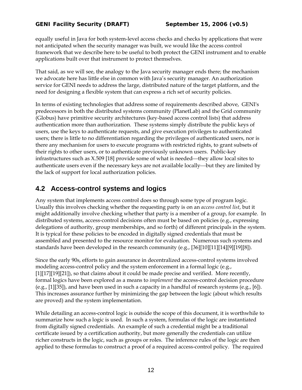equally useful in Java for both system-level access checks and checks by applications that were not anticipated when the security manager was built, we would like the access control framework that we describe here to be useful to both protect the GENI instrument and to enable applications built over that instrument to protect themselves.

That said, as we will see, the analogy to the Java security manager ends there; the mechanism we advocate here has little else in common with Java's security manager. An authorization service for GENI needs to address the large, distributed nature of the target platform, and the need for designing a flexible system that can express a rich set of security policies.

In terms of existing technologies that address some of requirements described above, GENI's predecessors in both the distributed systems community (PlanetLab) and the Grid community (Globus) have primitive security architectures (key-based access control lists) that address authentication more than authorization. These systems simply distribute the public keys of users, use the keys to authenticate requests, and give execution privileges to authenticated users; there is little to no differentiation regarding the privileges of authenticated users, nor is there any mechanism for users to execute programs with restricted rights, to grant subsets of their rights to other users, or to authenticate previously unknown users. Public-key infrastructures such as  $X.509$  [18] provide some of what is needed—they allow local sites to authenticate users even if the necessary keys are not available locally—but they are limited by the lack of support for local authorization policies.

### **4.2 Access-control systems and logics**

Any system that implements access control does so through some type of program logic. Usually this involves checking whether the requesting party is on an *access control list*, but it might additionally involve checking whether that party is a member of a group, for example. In distributed systems, access-control decisions often must be based on policies (e.g., expressing delegations of authority, group memberships, and so forth) of different principals in the system. It is typical for these policies to be encoded in digitally signed credentials that must be assembled and presented to the resource monitor for evaluation. Numerous such systems and standards have been developed in the research community (e.g.,  $[36][10][11][14][9][19][8]$ ).

Since the early 90s, efforts to gain assurance in decentralized access-control systems involved modeling access-control policy and the system enforcement in a formal logic (e.g., [1][17][19][21]), so that claims about it could be made precise and verified. More recently, formal logics have been explored as a means to *implement* the access-control decision procedure (e.g., [1][35]), and have been used in such a capacity in a handful of research systems (e.g., [6]). This increases assurance further by minimizing the gap between the logic (about which results are proved) and the system implementation.

While detailing an access-control logic is outside the scope of this document, it is worthwhile to summarize how such a logic is used. In such a system, formulas of the logic are instantiated from digitally signed credentials. An example of such a credential might be a traditional certificate issued by a certification authority, but more generally the credentials can utilize richer constructs in the logic, such as groups or roles. The inference rules of the logic are then applied to these formulas to construct a proof of a required access-control policy. The required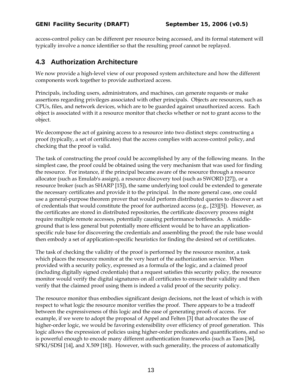access-control policy can be different per resource being accessed, and its formal statement will typically involve a nonce identifier so that the resulting proof cannot be replayed.

### **4.3 Authorization Architecture**

We now provide a high-level view of our proposed system architecture and how the different components work together to provide authorized access.

Principals, including users, administrators, and machines, can generate requests or make assertions regarding privileges associated with other principals. Objects are resources, such as CPUs, files, and network devices, which are to be guarded against unauthorized access. Each object is associated with it a resource monitor that checks whether or not to grant access to the object.

We decompose the act of gaining access to a resource into two distinct steps: constructing a proof (typically, a set of certificates) that the access complies with access-control policy, and checking that the proof is valid.

The task of constructing the proof could be accomplished by any of the following means. In the simplest case, the proof could be obtained using the very mechanism that was used for finding the resource. For instance, if the principal became aware of the resource through a resource allocator (such as Emulab's assign), a resource discovery tool (such as SWORD [27]), or a resource broker (such as SHARP [15]), the same underlying tool could be extended to generate the necessary certificates and provide it to the principal. In the more general case, one could use a general-purpose theorem prover that would perform distributed queries to discover a set of credentials that would constitute the proof for authorized access (e.g., [23][5]). However, as the certificates are stored in distributed repositories, the certificate discovery process might require multiple remote accesses, potentially causing performance bottlenecks. A middleground that is less general but potentially more efficient would be to have an applicationspecific rule base for discovering the credentials and assembling the proof; the rule base would then embody a set of application-specific heuristics for finding the desired set of certificates.

The task of checking the validity of the proof is performed by the resource monitor, a task which places the resource monitor at the very heart of the authorization service. When provided with a security policy, expressed as a formula of the logic, and a claimed proof (including digitally signed credentials) that a request satisfies this security policy, the resource monitor would verify the digital signatures on all certificates to ensure their validity and then verify that the claimed proof using them is indeed a valid proof of the security policy.

The resource monitor thus embodies significant design decisions, not the least of which is with respect to what logic the resource monitor verifies the proof. There appears to be a tradeoff between the expressiveness of this logic and the ease of generating proofs of access. For example, if we were to adopt the proposal of Appel and Felten [3] that advocates the use of higher-order logic, we would be favoring extensibility over efficiency of proof generation. This logic allows the expression of policies using higher-order predicates and quantifications, and so is powerful enough to encode many different authentication frameworks (such as Taos [36], SPKI/SDSI [14], and X.509 [18]). However, with such generality, the process of automatically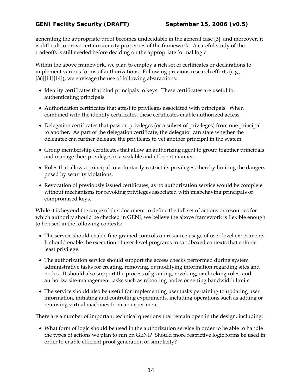generating the appropriate proof becomes undecidable in the general case [3], and moreover, it is difficult to prove certain security properties of the framework. A careful study of the tradeoffs is still needed before deciding on the appropriate formal logic.

Within the above framework, we plan to employ a rich set of certificates or declarations to implement various forms of authorizations. Following previous research efforts (e.g., [36][11][14]), we envisage the use of following abstractions:

- Identity certificates that bind principals to keys. These certificates are useful for authenticating principals.
- Authorization certificates that attest to privileges associated with principals. When combined with the identity certificates, these certificates enable authorized access.
- Delegation certificates that pass on privileges (or a subset of privileges) from one principal to another. As part of the delegation certificate, the delegator can state whether the delegatee can further delegate the privileges to yet another principal in the system.
- Group membership certificates that allow an authorizing agent to group together principals and manage their privileges in a scalable and efficient manner.
- Roles that allow a principal to voluntarily restrict its privileges, thereby limiting the dangers posed by security violations.
- Revocation of previously issued certificates, as no authorization service would be complete without mechanisms for revoking privileges associated with misbehaving principals or compromised keys.

While it is beyond the scope of this document to define the full set of actions or resources for which authority should be checked in GENI, we believe the above framework is flexible enough to be used in the following contexts:

- The service should enable fine-grained controls on resource usage of user-level experiments. It should enable the execution of user-level programs in sandboxed contexts that enforce least privilege.
- The authorization service should support the access checks performed during system administrative tasks for creating, removing, or modifying information regarding sites and nodes. It should also support the process of granting, revoking, or checking roles, and authorize site-management tasks such as rebooting nodes or setting bandwidth limits.
- The service should also be useful for implementing user tasks pertaining to updating user information, initiating and controlling experiments, including operations such as adding or removing virtual machines from an experiment.

There are a number of important technical questions that remain open in the design, including:

• What form of logic should be used in the authorization service in order to be able to handle the types of actions we plan to run on GENI? Should more restrictive logic forms be used in order to enable efficient proof generation or simplicity?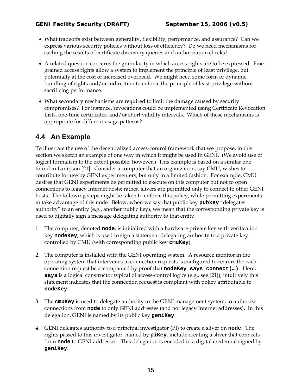- What tradeoffs exist between generality, flexibility, performance, and assurance? Can we express various security policies without loss of efficiency? Do we need mechanisms for caching the results of certificate discovery queries and authorization checks?
- A related question concerns the granularity in which access rights are to be expressed. Finegrained access rights allow a system to implement the principle of least privilege, but potentially at the cost of increased overhead. We might need some form of dynamic bundling of rights and/or indirection to enforce the principle of least privilege without sacrificing performance.
- What secondary mechanisms are required to limit the damage caused by security compromises? For instance, revocations could be implemented using Certificate Revocation Lists, one-time certificates, and/or short validity intervals. Which of these mechanisms is appropriate for different usage patterns?

### **4.4 An Example**

To illustrate the use of the decentralized access-control framework that we propose, in this section we sketch an example of one way in which it might be used in GENI. (We avoid use of logical formalism to the extent possible, however.) This example is based on a similar one found in Lampson [21]. Consider a computer that an organization, say CMU, wishes to contribute for use by GENI experimenters, but only in a limited fashion. For example, CMU desires that GENI experiments be permitted to execute on this computer but not to open connections to legacy Internet hosts; rather, slivers are permitted only to connect to other GENI hosts. The following steps might be taken to enforce this policy, while permitting experiments to take advantage of this node. Below, when we say that public key **pubkey** "delegates authority" to an entity (e.g., another public key), we mean that the corresponding private key is used to digitally sign a message delegating authority to that entity.

- 1. The computer, denoted **node**, is initialized with a hardware private key with verification key **nodeKey**, which is used to sign a statement delegating authority to a private key controlled by CMU (with corresponding public key **cmuKey**).
- 2. The computer is installed with the GENI operating system. A resource monitor in the operating system that intervenes in connection requests is configured to require the each connection request be accompanied by proof that **nodeKey says connect(…)**. Here, **says** is a logical constructor typical of access-control logics (e.g., see [21]); intuitively this statement indicates that the connection request is compliant with policy attributable to **nodeKey**.
- 3. The **cmuKey** is used to delegate authority to the GENI management system, to authorize connections from **node** to only GENI addresses (and not legacy Internet addresses). In this delegation, GENI is named by its public key **geniKey**.
- 4. GENI delegates authority to a principal investigator (PI) to create a sliver on **node**. The rights passed to this investigator, named by **piKey**, include creating a sliver that connects from **node** to GENI addresses. This delegation is encoded in a digital credential signed by **geniKey**.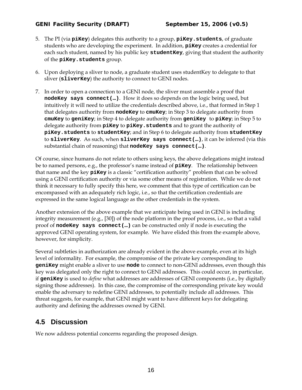#### *GENI Facility Security (DRAFT) September 15, 2006 (v0.5)*

- 5. The PI (via **piKey**) delegates this authority to a group, **piKey.students**, of graduate students who are developing the experiment. In addition, **piKey** creates a credential for each such student, named by his public key **studentKey**, giving that student the authority of the **piKey.students** group.
- 6. Upon deploying a sliver to node, a graduate student uses studentKey to delegate to that sliver (**sliverKey**) the authority to connect to GENI nodes.
- 7. In order to open a connection to a GENI node, the sliver must assemble a proof that **nodeKey says connect(…)**. How it does so depends on the logic being used, but intuitively it will need to utilize the credentials described above, i.e., that formed in Step 1 that delegates authority from **nodeKey** to **cmuKey**; in Step 3 to delegate authority from **cmuKey** to **geniKey**; in Step 4 to delegate authority from **geniKey** to **piKey**; in Step 5 to delegate authority from **piKey** to **piKey.students** and to grant the authority of **piKey.students** to **studentKey**; and in Step 6 to delegate authority from **studentKey** to **sliverKey**. As such, when **sliverKey says connect(…)**, it can be inferred (via this substantial chain of reasoning) that **nodeKey says connect(…)**.

Of course, since humans do not relate to others using keys, the above delegations might instead be to named persons, e.g., the professor's name instead of **piKey**. The relationship between that name and the key **piKey** is a classic "certification authority" problem that can be solved using a GENI certification authority or via some other means of registration. While we do not think it necessary to fully specify this here, we comment that this type of certification can be encompassed with an adequately rich logic, i.e., so that the certification credentials are expressed in the same logical language as the other credentials in the system.

Another extension of the above example that we anticipate being used in GENI is including integrity measurement (e.g., [30]) of the node platform in the proof process, i.e., so that a valid proof of **nodeKey says connect(…)** can be constructed only if node is executing the approved GENI operating system, for example. We have elided this from the example above, however, for simplicity.

Several subtleties in authorization are already evident in the above example, even at its high level of informality. For example, the compromise of the private key corresponding to **geniKey** might enable a sliver to use **node** to connect to non-GENI addresses, even though this key was delegated only the right to connect to GENI addresses. This could occur, in particular, if **geniKey** is used to *define* what addresses are addresses of GENI components (i.e., by digitally signing those addresses). In this case, the compromise of the corresponding private key would enable the adversary to redefine GENI addresses, to potentially include all addresses. This threat suggests, for example, that GENI might want to have different keys for delegating authority and defining the addresses owned by GENI.

### **4.5 Discussion**

We now address potential concerns regarding the proposed design.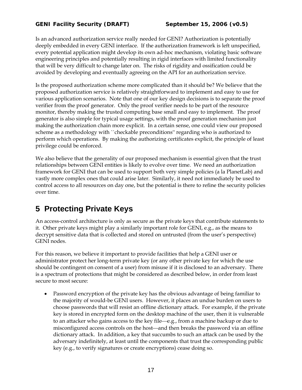Is an advanced authorization service really needed for GENI? Authorization is potentially deeply embedded in every GENI interface. If the authorization framework is left unspecified, every potential application might develop its own ad-hoc mechanism, violating basic software engineering principles and potentially resulting in rigid interfaces with limited functionality that will be very difficult to change later on. The risks of rigidity and ossification could be avoided by developing and eventually agreeing on the API for an authorization service.

Is the proposed authorization scheme more complicated than it should be? We believe that the proposed authorization service is relatively straightforward to implement and easy to use for various application scenarios. Note that one of our key design decisions is to separate the proof verifier from the proof generator. Only the proof verifier needs to be part of the resource monitor, thereby making the trusted computing base small and easy to implement. The proof generator is also simple for typical usage settings, with the proof generation mechanism just making the authorization chain more explicit. In a certain sense, one could view our proposed scheme as a methodology with ``checkable preconditions'' regarding who is authorized to perform which operations. By making the authorizing certificates explicit, the principle of least privilege could be enforced.

We also believe that the generality of our proposed mechanism is essential given that the trust relationships between GENI entities is likely to evolve over time. We need an authorization framework for GENI that can be used to support both very simple policies (a la PlanetLab) and vastly more complex ones that could arise later. Similarly, it need not immediately be used to control access to all resources on day one, but the potential is there to refine the security policies over time.

# **5 Protecting Private Keys**

An access-control architecture is only as secure as the private keys that contribute statements to it. Other private keys might play a similarly important role for GENI, e.g., as the means to decrypt sensitive data that is collected and stored on untrusted (from the user's perspective) GENI nodes.

For this reason, we believe it important to provide facilities that help a GENI user or administrator protect her long-term private key (or any other private key for which the use should be contingent on consent of a user) from misuse if it is disclosed to an adversary. There is a spectrum of protections that might be considered as described below, in order from least secure to most secure:

• Password encryption of the private key has the obvious advantage of being familiar to the majority of would-be GENI users. However, it places an undue burden on users to choose passwords that will resist an offline dictionary attack. For example, if the private key is stored in encrypted form on the desktop machine of the user, then it is vulnerable to an attacker who gains access to the key file—e.g., from a machine backup or due to misconfigured access controls on the host—and then breaks the password via an offline dictionary attack. In addition, a key that succumbs to such an attack can be used by the adversary indefinitely, at least until the components that trust the corresponding public key (e.g., to verify signatures or create encryptions) cease doing so.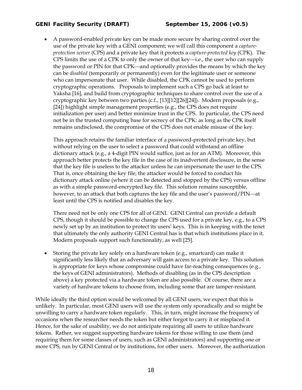• A password-enabled private key can be made more secure by sharing control over the use of the private key with a GENI component; we will call this component a *captureprotection server* (CPS) and a private key that it protects a *capture-protected key* (CPK). The CPS limits the use of a CPK to only the owner of that key—i.e., the user who can supply the password or PIN for that CPK—and optionally provides the means by which the key can be *disabled* (temporarily or permanently) even for the legitimate user or someone who can impersonate that user. While disabled, the CPK cannot be used to perform cryptographic operations. Proposals to implement such a CPS go back at least to Yaksha [16], and build from cryptographic techniques to share control over the use of a cryptographic key between two parties (c.f., [13][12][26][24]). Modern proposals (e.g., [24]) highlight simple management properties (e.g., the CPS does not require initialization per user) and better minimize trust in the CPS. In particular, the CPS need not be in the trusted computing base for secrecy of the CPK: as long as the CPK itself remains undisclosed, the compromise of the CPS does not enable misuse of the key.

This approach retains the familiar interface of a password-protected private key, but without relying on the user to select a password that could withstand an offline dictionary attack (e.g., a 4-digit PIN would suffice, just as for an ATM). Moreover, this approach better protects the key file in the case of its inadvertent disclosure, in the sense that the key file is useless to the attacker unless he can impersonate the user to the CPS. That is, once obtaining the key file, the attacker would be forced to conduct his dictionary attack online (where it can be detected and stopped by the CPS) versus offline as with a simple password-encrypted key file. This solution remains susceptible, however, to an attack that both captures the key file and the user's password/PIN—at least until the CPS is notified and disables the key.

There need not be only one CPS for all of GENI. GENI Central can provide a default CPS, though it should be possible to change the CPS used for a private key, e.g., to a CPS newly set up by an institution to protect its users' keys. This is in keeping with the tenet that ultimately the only authority GENI Central has is that which institutions place in it. Modern proposals support such functionality, as well [25].

• Storing the private key solely on a hardware token (e.g., smartcard) can make it significantly less likely that an adversary will gain access to a private key. This solution is appropriate for keys whose compromise could have far-reaching consequences (e.g., the keys of GENI administrators). Methods of disabling (as in the CPS description above) a key protected via a hardware token are also possible. Of course, there are a variety of hardware tokens to choose from, including some that are tamper-resistant.

While ideally the third option would be welcomed by all GENI users, we expect that this is unlikely. In particular, most GENI users will use the system only sporadically and so might be unwilling to carry a hardware token regularly. This, in turn, might increase the frequency of occasions when the researcher needs the token but either forgot to carry it or misplaced it. Hence, for the sake of usability, we do not anticipate requiring all users to utilize hardware tokens. Rather, we suggest supporting hardware tokens for those willing to use them (and requiring them for some classes of users, such as GENI administrators) and supporting one or more CPS, run by GENI Central or by institutions, for other users. Moreover, the authorization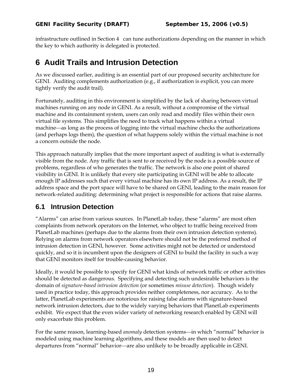infrastructure outlined in Section 4 can tune authorizations depending on the manner in which the key to which authority is delegated is protected.

## **6 Audit Trails and Intrusion Detection**

As we discussed earlier, auditing is an essential part of our proposed security architecture for GENI. Auditing complements authorization (e.g., if authorization is explicit, you can more tightly verify the audit trail).

Fortunately, auditing in this environment is simplified by the lack of sharing between virtual machines running on any node in GENI. As a result, without a compromise of the virtual machine and its containment system, users can only read and modify files within their own virtual file systems. This simplifies the need to track what happens within a virtual machine—as long as the process of logging into the virtual machine checks the authorizations (and perhaps logs them), the question of what happens solely within the virtual machine is not a concern outside the node.

This approach naturally implies that the more important aspect of auditing is what is externally visible from the node. Any traffic that is sent to or received by the node is a possible source of problems, regardless of who generates the traffic. The network is also one point of shared visibility in GENI. It is unlikely that every site participating in GENI will be able to allocate enough IP addresses such that every virtual machine has its own IP address. As a result, the IP address space and the port space will have to be shared on GENI, leading to the main reason for network-related auditing: determining what project is responsible for actions that raise alarms.

### **6.1 Intrusion Detection**

"Alarms" can arise from various sources. In PlanetLab today, these "alarms" are most often complaints from network operators on the Internet, who object to traffic being received from PlanetLab machines (perhaps due to the alarms from their own intrusion detection systems). Relying on alarms from network operators elsewhere should not be the preferred method of intrusion detection in GENI, however. Some activities might not be detected or understood quickly, and so it is incumbent upon the designers of GENI to build the facility in such a way that GENI monitors itself for trouble-causing behavior.

Ideally, it would be possible to specify for GENI what kinds of network traffic or other activities should be detected as dangerous. Specifying and detecting such undesirable behaviors is the domain of *signature-based intrusion detection* (or sometimes *misuse detection*). Though widely used in practice today, this approach provides neither completeness, nor accuracy. As to the latter, PlanetLab experiments are notorious for raising false alarms with signature-based network intrusion detectors, due to the widely varying behaviors that PlanetLab experiments exhibit. We expect that the even wider variety of networking research enabled by GENI will only exacerbate this problem.

For the same reason, learning-based *anomaly* detection systems—in which "normal" behavior is modeled using machine learning algorithms, and these models are then used to detect departures from "normal" behavior—are also unlikely to be broadly applicable in GENI.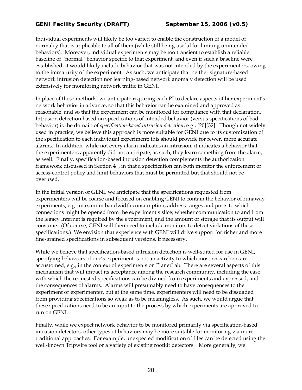Individual experiments will likely be too varied to enable the construction of a model of normalcy that is applicable to all of them (while still being useful for limiting unintended behaviors). Moreover, individual experiments may be too transient to establish a reliable baseline of "normal" behavior specific to that experiment, and even if such a baseline were established, it would likely include behavior that was not intended by the experimenters, owing to the immaturity of the experiment. As such, we anticipate that neither signature-based network intrusion detection nor learning-based network anomaly detection will be used extensively for monitoring network traffic in GENI.

In place of these methods, we anticipate requiring each PI to declare aspects of her experiment's network behavior in advance, so that this behavior can be examined and approved as reasonable, and so that the experiment can be monitored for compliance with that declaration. Intrusion detection based on specifications of intended behavior (versus specifications of bad behavior) is the domain of *specification-based intrusion detection*, e.g., [20][32]. Though not widely used in practice, we believe this approach is more suitable for GENI due to its customization of the specification to each individual experiment; this should provide for fewer, more accurate alarms. In addition, while not every alarm indicates an intrusion, it indicates a behavior that the experimenters apparently did not anticipate; as such, they learn something from the alarm, as well. Finally, specification-based intrusion detection complements the authorization framework discussed in Section 4 , in that a specification can both monitor the enforcement of access-control policy and limit behaviors that must be permitted but that should not be overused.

In the initial version of GENI, we anticipate that the specifications requested from experimenters will be coarse and focused on enabling GENI to contain the behavior of runaway experiments, e.g.: maximum bandwidth consumption; address ranges and ports to which connections might be opened from the experiment's slice; whether communication to and from the legacy Internet is required by the experiment; and the amount of storage that its output will consume. (Of course, GENI will then need to include monitors to detect violations of these specifications.) We envision that experience with GENI will drive support for richer and more fine-grained specifications in subsequent versions, if necessary.

While we believe that specification-based intrusion detection is well-suited for use in GENI, specifying behaviors of one's experiment is not an activity to which most researchers are accustomed, e.g., in the context of experiments on PlanetLab. There are several aspects of this mechanism that will impact its acceptance among the research community, including the ease with which the requested specifications can be divined from experiments and expressed, and the consequences of alarms. Alarms will presumably need to have consequences to the experiment or experimenter, but at the same time, experimenters will need to be dissuaded from providing specifications so weak as to be meaningless. As such, we would argue that these specifications need to be an input to the process by which experiments are approved to run on GENI.

Finally, while we expect network behavior to be monitored primarily via specification-based intrusion detectors, other types of behaviors may be more suitable for monitoring via more traditional approaches. For example, unexpected modification of files can be detected using the well-known Tripwire tool or a variety of existing rootkit detectors. More generally, we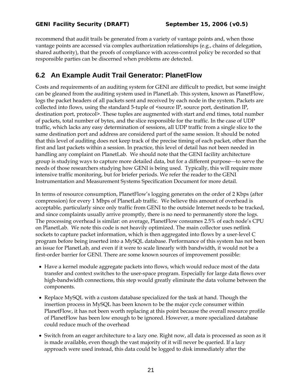recommend that audit trails be generated from a variety of vantage points and, when those vantage points are accessed via complex authorization relationships (e.g., chains of delegation, shared authority), that the proofs of compliance with access-control policy be recorded so that responsible parties can be discerned when problems are detected.

### **6.2 An Example Audit Trail Generator: PlanetFlow**

Costs and requirements of an auditing system for GENI are difficult to predict, but some insight can be gleaned from the auditing system used in PlanetLab. This system, known as PlanetFlow, logs the packet headers of all packets sent and received by each node in the system. Packets are collected into flows, using the standard 5-tuple of <source IP, source port, destination IP, destination port, protocol>. These tuples are augmented with start and end times, total number of packets, total number of bytes, and the slice responsible for the traffic. In the case of UDP traffic, which lacks any easy determination of sessions, all UDP traffic from a single slice to the same destination port and address are considered part of the same session. It should be noted that this level of auditing does not keep track of the precise timing of each packet, other than the first and last packets within a session. In practice, this level of detail has not been needed in handling any complaint on PlanetLab. We should note that the GENI facility architecture group is studying ways to capture more detailed data, but for a different purpose—to serve the needs of those researchers studying how GENI is being used. Typically, this will require more intensive traffic monitoring, but for briefer periods. We refer the reader to the GENI Instrumentation and Measurement Systems Specification Document for more detail.

In terms of resource consumption, PlanetFlow's logging generates on the order of 2 Kbps (after compression) for every 1 Mbps of PlanetLab traffic. We believe this amount of overhead is acceptable, particularly since only traffic from GENI to the outside Internet needs to be tracked, and since complaints usually arrive promptly, there is no need to permanently store the logs. The processing overhead is similar: on average, PlanetFlow consumes 2.5% of each node's CPU on PlanetLab. We note this code is not heavily optimized. The main collector uses netlink sockets to capture packet information, which is then aggregated into flows by a user-level C program before being inserted into a MySQL database. Performance of this system has not been an issue for PlanetLab, and even if it were to scale linearly with bandwidth, it would not be a first-order barrier for GENI. There are some known sources of improvement possible:

- Have a kernel module aggregate packets into flows, which would reduce most of the data transfer and context switches to the user-space program. Especially for large data flows over high-bandwidth connections, this step would greatly eliminate the data volume between the components.
- Replace MySQL with a custom database specialized for the task at hand. Though the insertion process in MySQL has been known to be the major cycle consumer within PlanetFlow, it has not been worth replacing at this point because the overall resource profile of PlanetFlow has been low enough to be ignored. However, a more specialized database could reduce much of the overhead
- Switch from an eager architecture to a lazy one. Right now, all data is processed as soon as it is made available, even though the vast majority of it will never be queried. If a lazy approach were used instead, this data could be logged to disk immediately after the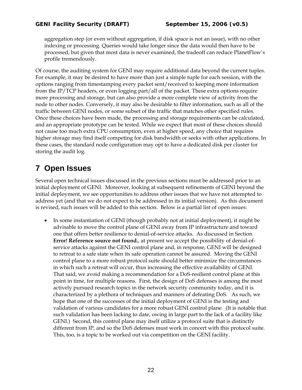aggregation step (or even without aggregation, if disk space is not an issue), with no other indexing or processing. Queries would take longer since the data would then have to be processed, but given that most data is never examined, the tradeoff can reduce PlanetFlow's profile tremendously.

Of course, the auditing system for GENI may require additional data beyond the current tuples. For example, it may be desired to have more than just a simple tuple for each session, with the options ranging from timestamping every packet sent/received to keeping more information from the IP/TCP headers, or even logging part/all of the packet. These extra options require more processing and storage, but can also provide a more complete view of activity from the node to other nodes. Conversely, it may also be desirable to filter information, such as all of the traffic between GENI nodes, or some subset of the traffic that matches other specified rules. Once these choices have been made, the processing and storage requirements can be calculated, and an appropriate prototype can be tested. While we expect that most of these choices should not cause too much extra CPU consumption, even at higher speed, any choice that requires higher storage may find itself competing for disk bandwidth or seeks with other applications. In these cases, the standard node configuration may opt to have a dedicated disk per cluster for storing the audit log.

# **7 Open Issues**

Several open technical issues discussed in the previous sections must be addressed prior to an initial deployment of GENI. Moreover, looking at subsequent refinements of GENI beyond the initial deployment, we see opportunities to address other issues that we have not attempted to address yet (and that we do not expect to be addressed in its initial version). As this document is revised, such issues will be added to this section. Below is a partial list of open issues:

• In some instantiation of GENI (though probably not at initial deployment), it might be advisable to move the control plane of GENI away from IP infrastructure and toward one that offers better resilience to denial-of-service attacks. As discussed in Section **Error! Reference source not found.**, at present we accept the possibility of denial-ofservice attacks against the GENI control plane and, in response, GENI will be designed to retreat to a safe state when its safe operation cannot be assured. Moving the GENI control plane to a more robust protocol suite should better minimize the circumstances in which such a retreat will occur, thus increasing the effective availability of GENI. That said, we avoid making a recommendation for a DoS-resilient control plane at this point in time, for multiple reasons. First, the design of DoS defenses is among the most actively pursued research topics in the network security community today, and it is characterized by a plethora of techniques and manners of defeating DoS. As such, we hope that one of the successes of the initial deployment of GENI is the testing and validation of various candidates for a more robust GENI control plane. (It is notable that such validation has been lacking to date, owing in large part to the lack of a facility like GENI.) Second, this control plane may itself utilize a protocol suite that is distinctly different from IP, and so the DoS defenses must work in concert with this protocol suite. This, too, is a topic to be worked out via competition on the GENI facility.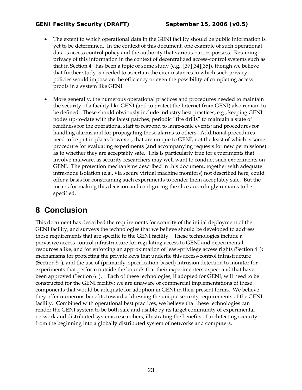#### *GENI Facility Security (DRAFT) September 15, 2006 (v0.5)*

- The extent to which operational data in the GENI facility should be public information is yet to be determined. In the context of this document, one example of such operational data is access control policy and the authority that various parties possess. Retaining privacy of this information in the context of decentralized access-control systems such as that in Section 4 has been a topic of some study (e.g.,  $[37][34][35]$ ), though we believe that further study is needed to ascertain the circumstances in which such privacy policies would impose on the efficiency or even the possibility of completing access proofs in a system like GENI.
- More generally, the numerous operational practices and procedures needed to maintain the security of a facility like GENI (and to protect the Internet from GENI) also remain to be defined. These should obviously include industry best practices, e.g., keeping GENI nodes up-to-date with the latest patches; periodic "fire drills" to maintain a state of readiness for the operational staff to respond to large-scale events; and procedures for handling alarms and for propagating those alarms to others. Additional procedures need to be put in place, however, that are unique to GENI, not the least of which is some procedure for evaluating experiments (and accompanying requests for new permissions) as to whether they are acceptably safe. This is particularly true for experiments that involve malware, as security researchers may well want to conduct such experiments on GENI. The protection mechanisms described in this document, together with adequate intra-node isolation (e.g., via secure virtual machine monitors) not described here, could offer a basis for constraining such experiments to render them acceptably safe. But the means for making this decision and configuring the slice accordingly remains to be specified.

# **8 Conclusion**

This document has described the requirements for security of the initial deployment of the GENI facility, and surveys the technologies that we believe should be developed to address those requirements that are specific to the GENI facility. These technologies include a pervasive access-control infrastructure for regulating access to GENI and experimental resources alike, and for enforcing an approximation of least-privilege access rights (Section 4 ); mechanisms for protecting the private keys that underlie this access-control infrastructure (Section 5 ); and the use of (primarily, specification-based) intrusion detection to monitor for experiments that perform outside the bounds that their experimenters expect and that have been approved (Section 6 ). Each of these technologies, if adopted for GENI, will need to be constructed for the GENI facility; we are unaware of commercial implementations of these components that would be adequate for adoption in GENI in their present forms. We believe they offer numerous benefits toward addressing the unique security requirements of the GENI facility. Combined with operational best practices, we believe that these technologies can render the GENI system to be both safe and usable by its target community of experimental network and distributed systems researchers, illustrating the benefits of architecting security from the beginning into a globally distributed system of networks and computers.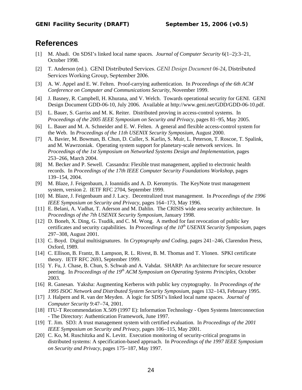### **References**

- [1] M. Abadi. On SDSI's linked local name spaces. *Journal of Computer Security* 6(1−2):3−21, October 1998.
- [2] T. Anderson (ed.). GENI Distributed Services. *GENI Design Document 06-24*, Distributed Services Working Group, September 2006.
- [3] A. W. Appel and E. W. Felten. Proof-carrying authentication. In *Proceedings of the 6th ACM Conference on Computer and Communications Security*, November 1999.
- [4] J. Basney, R. Campbell, H. Khurana, and V. Welch. Towards operational security for GENI. GENI Design Document GDD-06-10, July 2006. Available at http://www.geni.net/GDD/GDD-06-10.pdf.
- [5] L. Bauer, S. Garriss and M. K. Reiter. Distributed proving in access-control systems. In *Proceedings of the 2005 IEEE Symposium on Security and Privacy*, pages 81−95, May 2005.
- [6] L. Bauer and M. A. Schneider and E. W. Felten. A general and flexible access-control system for the Web. In *Proceedings of the 11th USENIX Security Symposium*, August 2000.
- [7] A. Bavier, M. Bowman, B. Chun, D. Culler, S. Karlin, S. Muir, L. Peterson, T. Roscoe, T. Spalink, and M. Wawrzoniak. Operating system support for planetary-scale network services. In *Proceedings of the 1st Symposium on Networked Systems Design and Implementation*, pages 253−266, March 2004.
- [8] M. Becker and P. Sewell. Cassandra: Flexible trust management, applied to electronic health records. In *Proceedings of the 17th IEEE Computer Security Foundations Workshop*, pages 139−154, 2004.
- [9] M. Blaze, J. Feigenbaum, J. Ioannidis and A. D. Keromytis. The KeyNote trust management system, version 2. IETF RFC 2704, September 1999.
- [10] M. Blaze, J. Feigenbaum and J. Lacy. Decentralized trust management. In *Proceedings of the 1996 IEEE Symposium on Security and Privacy*, pages 164−173, May 1996.
- [11] E. Belani, A. Vadhat, T. Aderson and M. Dahlin. The CRISIS wide area security architecture. In *Proceedings of the 7th USENIX Security Symposium*, January 1998.
- [12] D. Boneh, X. Ding, G. Tsudik, and C. M. Wong. A method for fast revocation of public key certificates and security capabilities. In *Proceedings of the 10<sup>th</sup> USENIX Security Symposium*, pages 297−308, August 2001.
- [13] C. Boyd. Digital multisignatures. In *Cryptography and Coding*, pages 241−246, Clarendon Press, Oxford, 1989.
- [14] C. Ellison, B. Frantz, B. Lampson, R. L. Rivest, B. M. Thomas and T. Ylonen. SPKI certificate theory. IETF RFC 2693, September 1999.
- [15] Y. Fu, J. Chase, B. Chun, S. Schwab and A. Vahdat. SHARP: An architecture for secure resource peering. In *Proceedings of the 19th ACM Symposium on Operating Systems Principles*, October 2003.
- [16] R. Ganesan. Yaksha: Augmenting Kerberos with public key cryptography. In *Proceedings of the 1995 ISOC Network and Distributed System Security Symposium*, pages 132−143, February 1995.
- [17] J. Halpern and R. van der Meyden. A logic for SDSI's linked local name spaces. *Journal of Computer Security* 9:47−74, 2001.
- [18] ITU-T Recommendation X.509 (1997 E): Information Technology Open Systems Interconnection - The Directory: Authentication Framework, June 1997.
- [19] T. Jim. SD3: A trust management system with certified evaluation. In *Proceedings of the 2001 IEEE Symposium on Security and Privacy*, pages 106−115, May 2001.
- [20] C. Ko, M. Ruschitzka and K. Levitt. Execution monitoring of security-critical programs in distributed systems: A specification-based approach. In *Proceedings of the 1997 IEEE Symposium on Security and Privacy*, pages 175−187, May 1997.